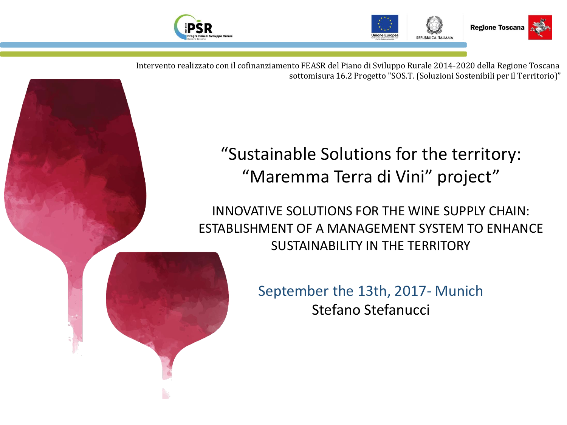



Intervento realizzato con il cofinanziamento FEASR del Piano di Sviluppo Rurale 2014-2020 della Regione Toscana sottomisura 16.2 Progetto "SOS.T. (Soluzioni Sostenibili per il Territorio)"

## "Sustainable Solutions for the territory: "Maremma Terra di Vini" project"

INNOVATIVE SOLUTIONS FOR THE WINE SUPPLY CHAIN: ESTABLISHMENT OF A MANAGEMENT SYSTEM TO ENHANCE SUSTAINABILITY IN THE TERRITORY

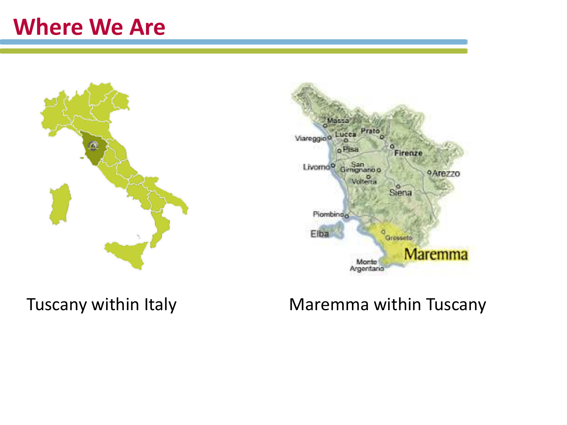# **Where We Are**





## Tuscany within Italy **Maremma within Tuscany**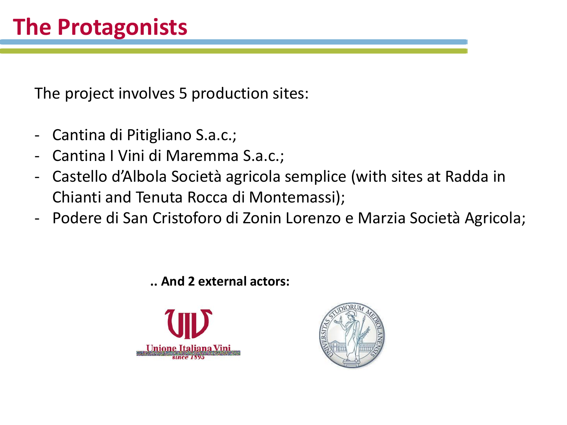The project involves 5 production sites:

- Cantina di Pitigliano S.a.c.;
- Cantina I Vini di Maremma S.a.c.;
- Castello d'Albola Società agricola semplice (with sites at Radda in Chianti and Tenuta Rocca di Montemassi);
- Podere di San Cristoforo di Zonin Lorenzo e Marzia Società Agricola;

**.. And 2 external actors:**



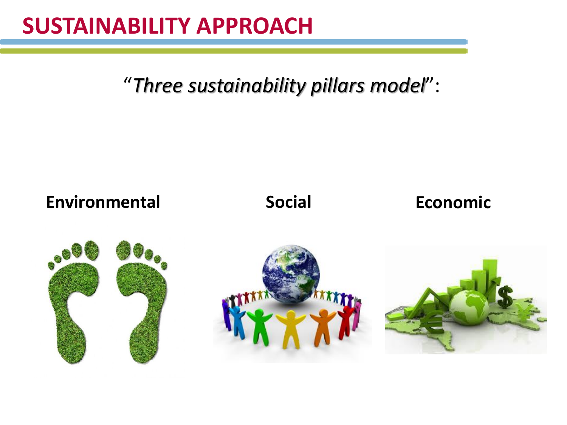# **SUSTAINABILITY APPROACH**

"*Three sustainability pillars model*":

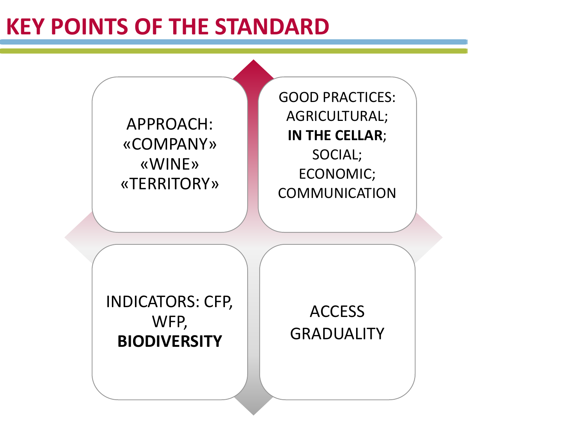# **KEY POINTS OF THE STANDARD**

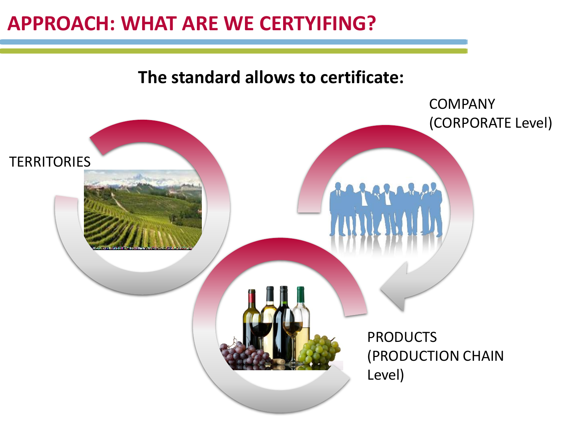## **APPROACH: WHAT ARE WE CERTYIFING?**

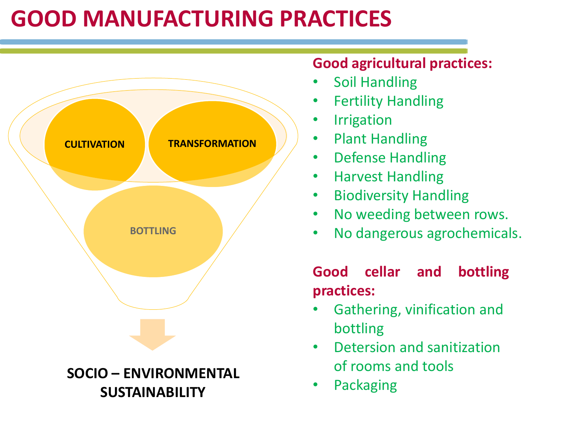# **GOOD MANUFACTURING PRACTICES**



### **Good agricultural practices:**

- Soil Handling
- Fertility Handling
- **Irrigation**
- Plant Handling
- Defense Handling
- Harvest Handling
- Biodiversity Handling
- No weeding between rows.
- No dangerous agrochemicals.

### **Good cellar and bottling practices:**

- Gathering, vinification and bottling
- Detersion and sanitization of rooms and tools
- Packaging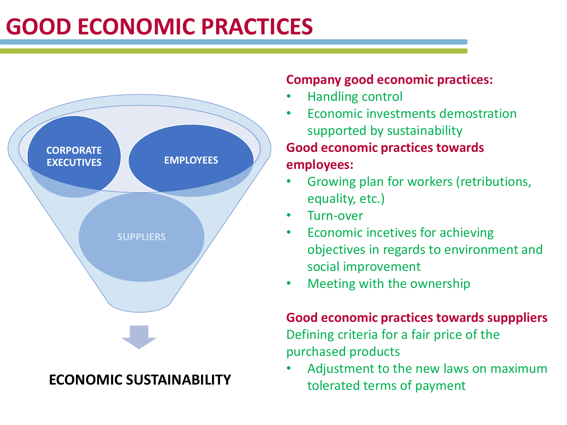# **GOOD ECONOMIC PRACTICES**



### **ECONOMIC SUSTAINABILITY**

#### **Company good economic practices:**

- Handling control
- Economic investments demostration supported by sustainability **Good economic practices towards employees:**
- Growing plan for workers (retributions, equality, etc.)
- Turn-over
- Economic incetives for achieving objectives in regards to environment and social improvement
- Meeting with the ownership

### **Good economic practices towards supppliers**  Defining criteria for a fair price of the purchased products

• Adjustment to the new laws on maximum tolerated terms of payment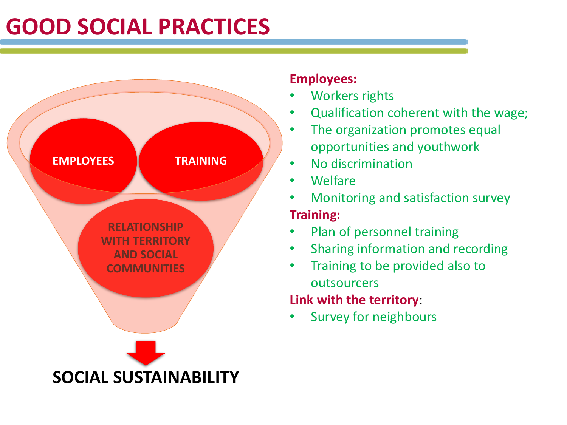# **GOOD SOCIAL PRACTICES**



#### **Employees:**

- Workers rights
- Qualification coherent with the wage;
- The organization promotes equal opportunities and youthwork
- No discrimination
- Welfare
- Monitoring and satisfaction survey **Training:**
- Plan of personnel training
- Sharing information and recording
- Training to be provided also to outsourcers

### **Link with the territory**:

• Survey for neighbours